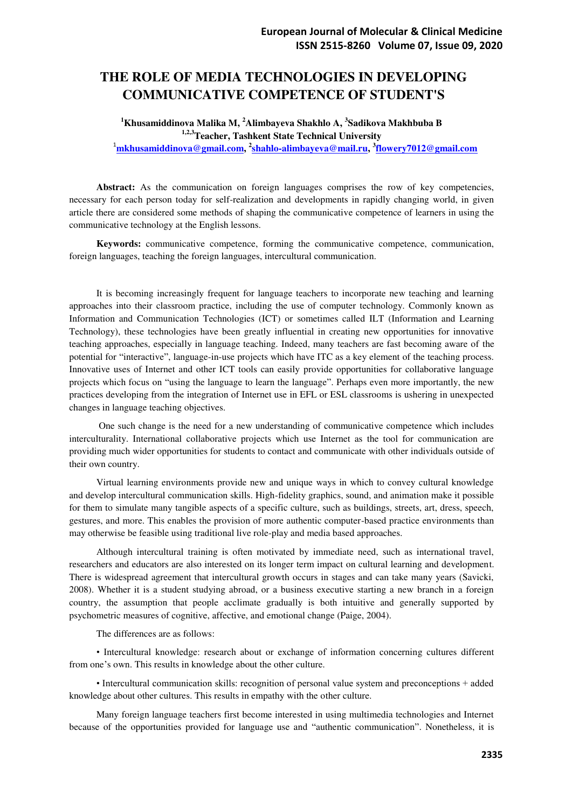# **THE ROLE OF MEDIA TECHNOLOGIES IN DEVELOPING COMMUNICATIVE COMPETENCE OF STUDENT'S**

### **<sup>1</sup>Khusamiddinova Malika M, <sup>2</sup>Alimbayeva Shakhlo A, 3 Sadikova Makhbuba B 1,2,3Teacher, Tashkent State Technical University**  <sup>1</sup>**[mkhusamiddinova@gmail.com,](mailto:mkhusamiddinova@gmail.com) 2 [shahlo-alimbayeva@mail.ru,](mailto:shahlo-alimbayeva@mail.ru) 3 [flowery7012@gmail.com](mailto:flowery7012@gmail.com)**

**Abstract:** As the communication on foreign languages comprises the row of key competencies, necessary for each person today for self-realization and developments in rapidly changing world, in given article there are considered some methods of shaping the communicative competence of learners in using the communicative technology at the English lessons.

**Keywords:** communicative competence, forming the communicative competence, communication, foreign languages, teaching the foreign languages, intercultural communication.

It is becoming increasingly frequent for language teachers to incorporate new teaching and learning approaches into their classroom practice, including the use of computer technology. Commonly known as Information and Communication Technologies (ICT) or sometimes called ILT (Information and Learning Technology), these technologies have been greatly influential in creating new opportunities for innovative teaching approaches, especially in language teaching. Indeed, many teachers are fast becoming aware of the potential for "interactive", language-in-use projects which have ITC as a key element of the teaching process. Innovative uses of Internet and other ICT tools can easily provide opportunities for collaborative language projects which focus on "using the language to learn the language". Perhaps even more importantly, the new practices developing from the integration of Internet use in EFL or ESL classrooms is ushering in unexpected changes in language teaching objectives.

 One such change is the need for a new understanding of communicative competence which includes interculturality. International collaborative projects which use Internet as the tool for communication are providing much wider opportunities for students to contact and communicate with other individuals outside of their own country.

Virtual learning environments provide new and unique ways in which to convey cultural knowledge and develop intercultural communication skills. High-fidelity graphics, sound, and animation make it possible for them to simulate many tangible aspects of a specific culture, such as buildings, streets, art, dress, speech, gestures, and more. This enables the provision of more authentic computer-based practice environments than may otherwise be feasible using traditional live role-play and media based approaches.

Although intercultural training is often motivated by immediate need, such as international travel, researchers and educators are also interested on its longer term impact on cultural learning and development. There is widespread agreement that intercultural growth occurs in stages and can take many years (Savicki, 2008). Whether it is a student studying abroad, or a business executive starting a new branch in a foreign country, the assumption that people acclimate gradually is both intuitive and generally supported by psychometric measures of cognitive, affective, and emotional change (Paige, 2004).

The differences are as follows:

• Intercultural knowledge: research about or exchange of information concerning cultures different from one's own. This results in knowledge about the other culture.

• Intercultural communication skills: recognition of personal value system and preconceptions + added knowledge about other cultures. This results in empathy with the other culture.

Many foreign language teachers first become interested in using multimedia technologies and Internet because of the opportunities provided for language use and "authentic communication". Nonetheless, it is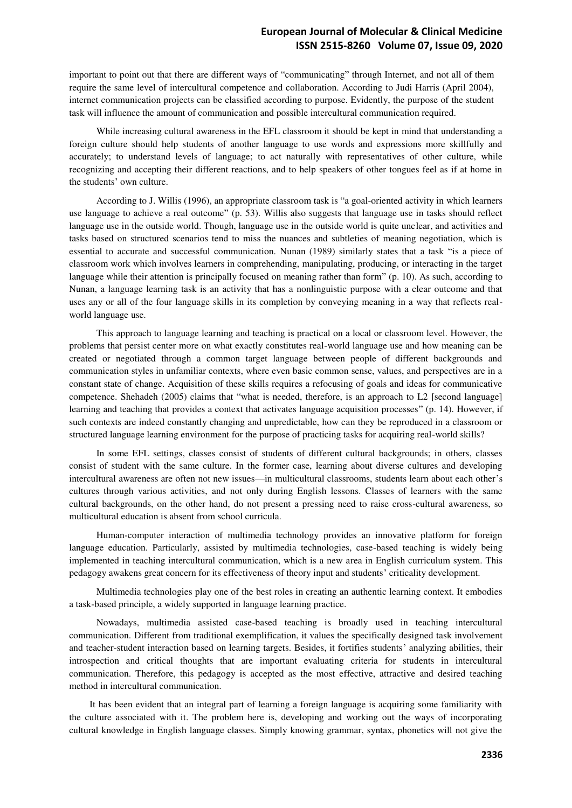important to point out that there are different ways of "communicating" through Internet, and not all of them require the same level of intercultural competence and collaboration. According to Judi Harris (April 2004), internet communication projects can be classified according to purpose. Evidently, the purpose of the student task will influence the amount of communication and possible intercultural communication required.

While increasing cultural awareness in the EFL classroom it should be kept in mind that understanding a foreign culture should help students of another language to use words and expressions more skillfully and accurately; to understand levels of language; to act naturally with representatives of other culture, while recognizing and accepting their different reactions, and to help speakers of other tongues feel as if at home in the students' own culture.

According to J. Willis (1996), an appropriate classroom task is "a goal-oriented activity in which learners use language to achieve a real outcome" (p. 53). Willis also suggests that language use in tasks should reflect language use in the outside world. Though, language use in the outside world is quite unclear, and activities and tasks based on structured scenarios tend to miss the nuances and subtleties of meaning negotiation, which is essential to accurate and successful communication. Nunan (1989) similarly states that a task "is a piece of classroom work which involves learners in comprehending, manipulating, producing, or interacting in the target language while their attention is principally focused on meaning rather than form" (p. 10). As such, according to Nunan, a language learning task is an activity that has a nonlinguistic purpose with a clear outcome and that uses any or all of the four language skills in its completion by conveying meaning in a way that reflects realworld language use.

This approach to language learning and teaching is practical on a local or classroom level. However, the problems that persist center more on what exactly constitutes real-world language use and how meaning can be created or negotiated through a common target language between people of different backgrounds and communication styles in unfamiliar contexts, where even basic common sense, values, and perspectives are in a constant state of change. Acquisition of these skills requires a refocusing of goals and ideas for communicative competence. Shehadeh (2005) claims that "what is needed, therefore, is an approach to L2 [second language] learning and teaching that provides a context that activates language acquisition processes" (p. 14). However, if such contexts are indeed constantly changing and unpredictable, how can they be reproduced in a classroom or structured language learning environment for the purpose of practicing tasks for acquiring real-world skills?

In some EFL settings, classes consist of students of different cultural backgrounds; in others, classes consist of student with the same culture. In the former case, learning about diverse cultures and developing intercultural awareness are often not new issues—in multicultural classrooms, students learn about each other's cultures through various activities, and not only during English lessons. Classes of learners with the same cultural backgrounds, on the other hand, do not present a pressing need to raise cross-cultural awareness, so multicultural education is absent from school curricula.

Human-computer interaction of multimedia technology provides an innovative platform for foreign language education. Particularly, assisted by multimedia technologies, case-based teaching is widely being implemented in teaching intercultural communication, which is a new area in English curriculum system. This pedagogy awakens great concern for its effectiveness of theory input and students' criticality development.

Multimedia technologies play one of the best roles in creating an authentic learning context. It embodies a task-based principle, a widely supported in language learning practice.

Nowadays, multimedia assisted case-based teaching is broadly used in teaching intercultural communication. Different from traditional exemplification, it values the specifically designed task involvement and teacher-student interaction based on learning targets. Besides, it fortifies students' analyzing abilities, their introspection and critical thoughts that are important evaluating criteria for students in intercultural communication. Therefore, this pedagogy is accepted as the most effective, attractive and desired teaching method in intercultural communication.

It has been evident that an integral part of learning a foreign language is acquiring some familiarity with the culture associated with it. The problem here is, developing and working out the ways of incorporating cultural knowledge in English language classes. Simply knowing grammar, syntax, phonetics will not give the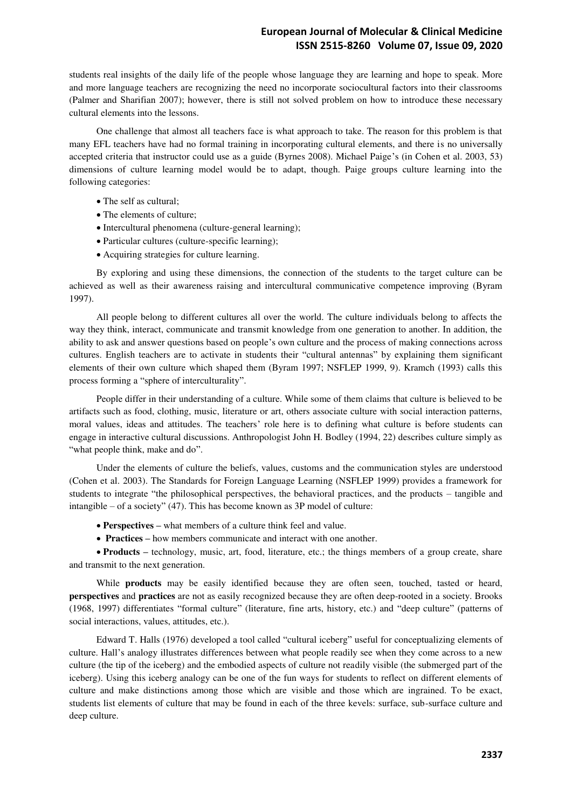students real insights of the daily life of the people whose language they are learning and hope to speak. More and more language teachers are recognizing the need no incorporate sociocultural factors into their classrooms (Palmer and Sharifian 2007); however, there is still not solved problem on how to introduce these necessary cultural elements into the lessons.

One challenge that almost all teachers face is what approach to take. The reason for this problem is that many EFL teachers have had no formal training in incorporating cultural elements, and there is no universally accepted criteria that instructor could use as a guide (Byrnes 2008). Michael Paige's (in Cohen et al. 2003, 53) dimensions of culture learning model would be to adapt, though. Paige groups culture learning into the following categories:

- The self as cultural;
- The elements of culture;
- Intercultural phenomena (culture-general learning);
- Particular cultures (culture-specific learning);
- Acquiring strategies for culture learning.

By exploring and using these dimensions, the connection of the students to the target culture can be achieved as well as their awareness raising and intercultural communicative competence improving (Byram 1997).

All people belong to different cultures all over the world. The culture individuals belong to affects the way they think, interact, communicate and transmit knowledge from one generation to another. In addition, the ability to ask and answer questions based on people's own culture and the process of making connections across cultures. English teachers are to activate in students their "cultural antennas" by explaining them significant elements of their own culture which shaped them (Byram 1997; NSFLEP 1999, 9). Kramch (1993) calls this process forming a "sphere of interculturality".

People differ in their understanding of a culture. While some of them claims that culture is believed to be artifacts such as food, clothing, music, literature or art, others associate culture with social interaction patterns, moral values, ideas and attitudes. The teachers' role here is to defining what culture is before students can engage in interactive cultural discussions. Anthropologist John H. Bodley (1994, 22) describes culture simply as "what people think, make and do".

Under the elements of culture the beliefs, values, customs and the communication styles are understood (Cohen et al. 2003). The Standards for Foreign Language Learning (NSFLEP 1999) provides a framework for students to integrate "the philosophical perspectives, the behavioral practices, and the products – tangible and intangible – of a society" (47). This has become known as 3P model of culture:

- **Perspectives –** what members of a culture think feel and value.
- **Practices –** how members communicate and interact with one another.

 **Products –** technology, music, art, food, literature, etc.; the things members of a group create, share and transmit to the next generation.

While **products** may be easily identified because they are often seen, touched, tasted or heard, **perspectives** and **practices** are not as easily recognized because they are often deep-rooted in a society. Brooks (1968, 1997) differentiates "formal culture" (literature, fine arts, history, etc.) and "deep culture" (patterns of social interactions, values, attitudes, etc.).

Edward T. Halls (1976) developed a tool called "cultural iceberg" useful for conceptualizing elements of culture. Hall's analogy illustrates differences between what people readily see when they come across to a new culture (the tip of the iceberg) and the embodied aspects of culture not readily visible (the submerged part of the iceberg). Using this iceberg analogy can be one of the fun ways for students to reflect on different elements of culture and make distinctions among those which are visible and those which are ingrained. To be exact, students list elements of culture that may be found in each of the three kevels: surface, sub-surface culture and deep culture.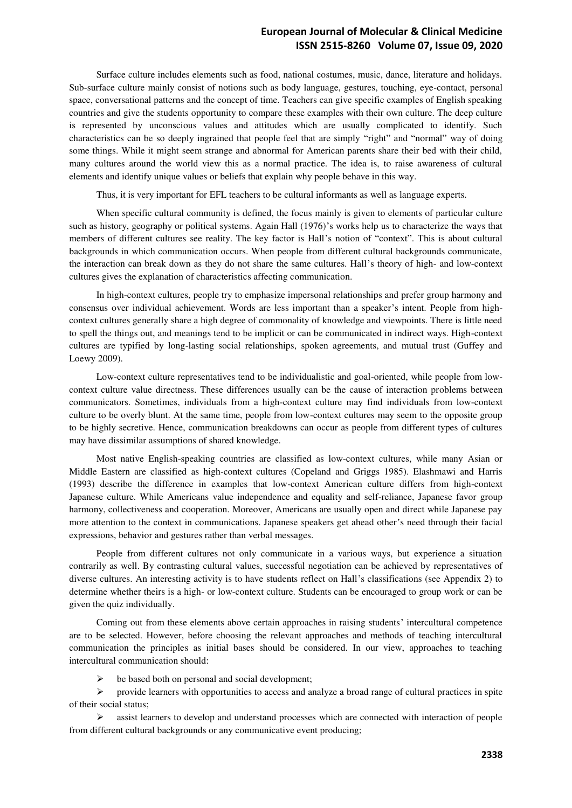## **European Journal of Molecular & Clinical Medicine ISSN 2515-8260 Volume 07, Issue 09, 2020**

Surface culture includes elements such as food, national costumes, music, dance, literature and holidays. Sub-surface culture mainly consist of notions such as body language, gestures, touching, eye-contact, personal space, conversational patterns and the concept of time. Teachers can give specific examples of English speaking countries and give the students opportunity to compare these examples with their own culture. The deep culture is represented by unconscious values and attitudes which are usually complicated to identify. Such characteristics can be so deeply ingrained that people feel that are simply "right" and "normal" way of doing some things. While it might seem strange and abnormal for American parents share their bed with their child, many cultures around the world view this as a normal practice. The idea is, to raise awareness of cultural elements and identify unique values or beliefs that explain why people behave in this way.

Thus, it is very important for EFL teachers to be cultural informants as well as language experts.

When specific cultural community is defined, the focus mainly is given to elements of particular culture such as history, geography or political systems. Again Hall (1976)'s works help us to characterize the ways that members of different cultures see reality. The key factor is Hall's notion of "context". This is about cultural backgrounds in which communication occurs. When people from different cultural backgrounds communicate, the interaction can break down as they do not share the same cultures. Hall's theory of high- and low-context cultures gives the explanation of characteristics affecting communication.

In high-context cultures, people try to emphasize impersonal relationships and prefer group harmony and consensus over individual achievement. Words are less important than a speaker's intent. People from highcontext cultures generally share a high degree of commonality of knowledge and viewpoints. There is little need to spell the things out, and meanings tend to be implicit or can be communicated in indirect ways. High-context cultures are typified by long-lasting social relationships, spoken agreements, and mutual trust (Guffey and Loewy 2009).

Low-context culture representatives tend to be individualistic and goal-oriented, while people from lowcontext culture value directness. These differences usually can be the cause of interaction problems between communicators. Sometimes, individuals from a high-context culture may find individuals from low-context culture to be overly blunt. At the same time, people from low-context cultures may seem to the opposite group to be highly secretive. Hence, communication breakdowns can occur as people from different types of cultures may have dissimilar assumptions of shared knowledge.

Most native English-speaking countries are classified as low-context cultures, while many Asian or Middle Eastern are classified as high-context cultures (Copeland and Griggs 1985). Elashmawi and Harris (1993) describe the difference in examples that low-context American culture differs from high-context Japanese culture. While Americans value independence and equality and self-reliance, Japanese favor group harmony, collectiveness and cooperation. Moreover, Americans are usually open and direct while Japanese pay more attention to the context in communications. Japanese speakers get ahead other's need through their facial expressions, behavior and gestures rather than verbal messages.

People from different cultures not only communicate in a various ways, but experience a situation contrarily as well. By contrasting cultural values, successful negotiation can be achieved by representatives of diverse cultures. An interesting activity is to have students reflect on Hall's classifications (see Appendix 2) to determine whether theirs is a high- or low-context culture. Students can be encouraged to group work or can be given the quiz individually.

Coming out from these elements above certain approaches in raising students' intercultural competence are to be selected. However, before choosing the relevant approaches and methods of teaching intercultural communication the principles as initial bases should be considered. In our view, approaches to teaching intercultural communication should:

be based both on personal and social development;

 $\triangleright$  provide learners with opportunities to access and analyze a broad range of cultural practices in spite of their social status;

 $\triangleright$  assist learners to develop and understand processes which are connected with interaction of people from different cultural backgrounds or any communicative event producing;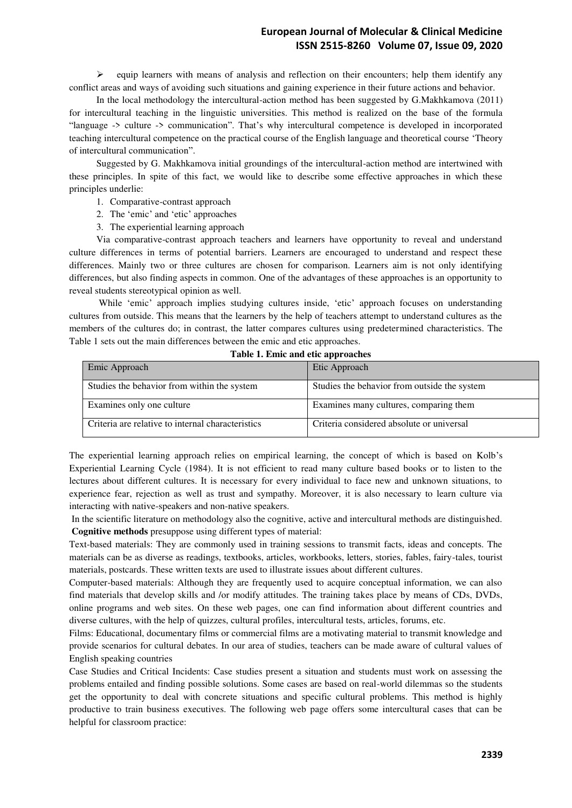$\triangleright$  equip learners with means of analysis and reflection on their encounters; help them identify any conflict areas and ways of avoiding such situations and gaining experience in their future actions and behavior.

In the local methodology the intercultural-action method has been suggested by G.Makhkamova (2011) for intercultural teaching in the linguistic universities. This method is realized on the base of the formula "language -> culture -> communication". That's why intercultural competence is developed in incorporated teaching intercultural competence on the practical course of the English language and theoretical course 'Theory of intercultural communication".

Suggested by G. Makhkamova initial groundings of the intercultural-action method are intertwined with these principles. In spite of this fact, we would like to describe some effective approaches in which these principles underlie:

- 1. Comparative-contrast approach
- 2. The 'emic' and 'etic' approaches
- 3. The experiential learning approach

Via comparative-contrast approach teachers and learners have opportunity to reveal and understand culture differences in terms of potential barriers. Learners are encouraged to understand and respect these differences. Mainly two or three cultures are chosen for comparison. Learners aim is not only identifying differences, but also finding aspects in common. One of the advantages of these approaches is an opportunity to reveal students stereotypical opinion as well.

 While 'emic' approach implies studying cultures inside, 'etic' approach focuses on understanding cultures from outside. This means that the learners by the help of teachers attempt to understand cultures as the members of the cultures do; in contrast, the latter compares cultures using predetermined characteristics. The Table 1 sets out the main differences between the emic and etic approaches.

| Emic Approach                                     | Etic Approach                                |
|---------------------------------------------------|----------------------------------------------|
| Studies the behavior from within the system       | Studies the behavior from outside the system |
| Examines only one culture                         | Examines many cultures, comparing them       |
| Criteria are relative to internal characteristics | Criteria considered absolute or universal    |

#### **Table 1. Emic and etic approaches**

The experiential learning approach relies on empirical learning, the concept of which is based on Kolb's Experiential Learning Cycle (1984). It is not efficient to read many culture based books or to listen to the lectures about different cultures. It is necessary for every individual to face new and unknown situations, to experience fear, rejection as well as trust and sympathy. Moreover, it is also necessary to learn culture via interacting with native-speakers and non-native speakers.

 In the scientific literature on methodology also the cognitive, active and intercultural methods are distinguished. **Cognitive methods** presuppose using different types of material:

Text-based materials: They are commonly used in training sessions to transmit facts, ideas and concepts. The materials can be as diverse as readings, textbooks, articles, workbooks, letters, stories, fables, fairy-tales, tourist materials, postcards. These written texts are used to illustrate issues about different cultures.

Computer-based materials: Although they are frequently used to acquire conceptual information, we can also find materials that develop skills and /or modify attitudes. The training takes place by means of CDs, DVDs, online programs and web sites. On these web pages, one can find information about different countries and diverse cultures, with the help of quizzes, cultural profiles, intercultural tests, articles, forums, etc.

Films: Educational, documentary films or commercial films are a motivating material to transmit knowledge and provide scenarios for cultural debates. In our area of studies, teachers can be made aware of cultural values of English speaking countries

Case Studies and Critical Incidents: Case studies present a situation and students must work on assessing the problems entailed and finding possible solutions. Some cases are based on real-world dilemmas so the students get the opportunity to deal with concrete situations and specific cultural problems. This method is highly productive to train business executives. The following web page offers some intercultural cases that can be helpful for classroom practice: